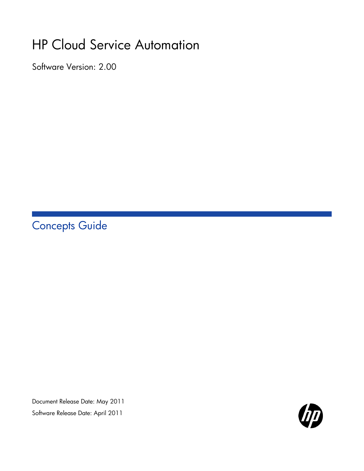# HP Cloud Service Automation

Software Version: 2.00

Concepts Guide

Document Release Date: May 2011 Software Release Date: April 2011

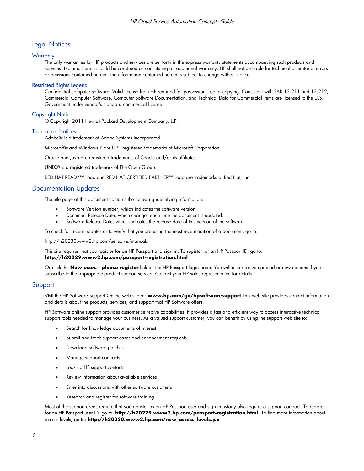#### Legal Notices

#### **Warranty**

The only warranties for HP products and services are set forth in the express warranty statements accompanying such products and services. Nothing herein should be construed as constituting an additional warranty. HP shall not be liable for technical or editorial errors or omissions contained herein. The information contained herein is subject to change without notice.

#### Restricted Rights Legend

Confidential computer software. Valid license from HP required for possession, use or copying. Consistent with FAR 12.211 and 12.212, Commercial Computer Software, Computer Software Documentation, and Technical Data for Commercial Items are licensed to the U.S. Government under vendor's standard commercial license.

#### Copyright Notice

© Copyright 2011 Hewlett-Packard Development Company, L.P.

#### Trademark Notices

Adobe® is a trademark of Adobe Systems Incorporated.

Microsoft® and Windows® are U.S. registered trademarks of Microsoft Corporation.

Oracle and Java are registered trademarks of Oracle and/or its affiliates.

UNIX® is a registered trademark of The Open Group.

RED HAT READY™ Logo and RED HAT CERTIFIED PARTNER™ Logo are trademarks of Red Hat, Inc.

#### Documentation Updates

The title page of this document contains the following identifying information:

- Software Version number, which indicates the software version.
- Document Release Date, which changes each time the document is updated.
- Software Release Date, which indicates the release date of this version of the software.

To check for recent updates or to verify that you are using the most recent edition of a document, go to:

http://h20230.www2.hp.com/selfsolve/manuals

This site requires that you register for an HP Passport and sign in. To register for an HP Passport ID, go to: **http://h20229.www2.hp.com/passport-registration.html** 

Or click the **New users - please register** link on the HP Passport login page. You will also receive updated or new editions if you subscribe to the appropriate product support service. Contact your HP sales representative for details.

#### Support

Visit the HP Software Support Online web site at: **www.hp.com/go/hpsoftwaresupport** This web site provides contact information and details about the products, services, and support that HP Software offers.

HP Software online support provides customer self-solve capabilities. It provides a fast and efficient way to access interactive technical support tools needed to manage your business. As a valued support customer, you can benefit by using the support web site to:

- Search for knowledge documents of interest
- Submit and track support cases and enhancement requests
- Download software patches
- Manage support contracts
- Look up HP support contacts
- Review information about available services
- Enter into discussions with other software customers
- Research and register for software training

Most of the support areas require that you register as an HP Passport user and sign in. Many also require a support contract. To register for an HP Passport user ID, go to: **http://h20229.www2.hp.com/passport-registration.html** To find more information about access levels, go to: **http://h20230.www2.hp.com/new\_access\_levels.jsp**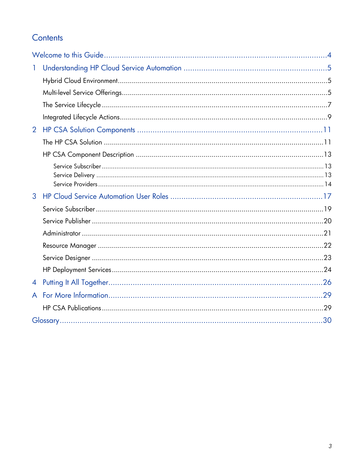# Contents

| 1              |  |
|----------------|--|
|                |  |
|                |  |
|                |  |
|                |  |
| $\overline{2}$ |  |
|                |  |
|                |  |
|                |  |
|                |  |
| 3              |  |
|                |  |
|                |  |
|                |  |
|                |  |
|                |  |
|                |  |
| $\overline{4}$ |  |
| A              |  |
|                |  |
|                |  |
|                |  |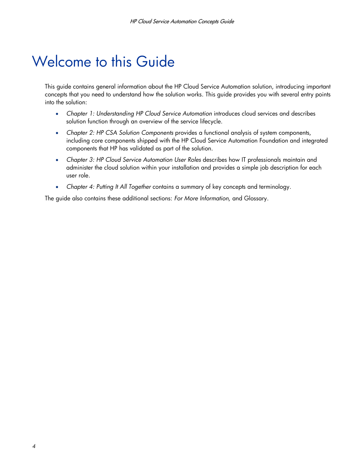# <span id="page-3-0"></span>Welcome to this Guide

This guide contains general information about the HP Cloud Service Automation solution, introducing important concepts that you need to understand how the solution works. This guide provides you with several entry points into the solution:

- *Chapter 1: [Understanding HP Cloud Service Automation](#page-4-0)* introduces cloud services and describes solution function through an overview of the service lifecycle.
- *Chapter 2: [HP CSA Solution Components](#page-10-2)* provides a functional analysis of system components, including core components shipped with the HP Cloud Service Automation Foundation and integrated components that HP has validated as part of the solution.
- *Chapter 3: [HP Cloud Service Automation User Roles](#page-16-0)* describes how IT professionals maintain and administer the cloud solution within your installation and provides a simple job description for each user role.
- *Chapter [4:](#page-25-0) [Putting It All Together](#page-25-0)* contains a summary of key concepts and terminology.

The guide also contains these additional sections: *[For More Information,](#page-28-0)* and Glossary.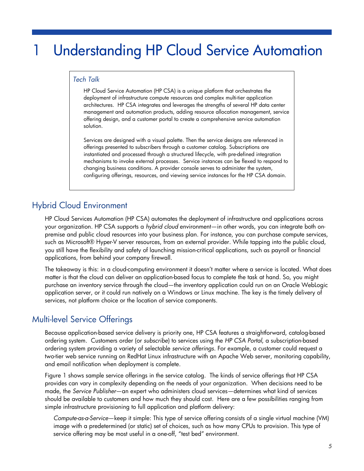# <span id="page-4-0"></span>**Understanding HP Cloud Service Automation**

### *Tech Talk*

HP Cloud Service Automation (HP CSA) is a unique platform that orchestrates the deployment of infrastructure compute resources and complex multi-tier application architectures. HP CSA integrates and leverages the strengths of several HP data center management and automation products, adding resource allocation management, service offering design, and a customer portal to create a comprehensive service automation solution.

Services are designed with a visual palette. Then the service designs are referenced in offerings presented to subscribers through a customer catalog. Subscriptions are instantiated and processed through a structured lifecycle, with pre-defined integration mechanisms to invoke external processes. Service instances can be flexed to respond to changing business conditions. A provider console serves to administer the system, configuring offerings, resources, and viewing service instances for the HP CSA domain.

# <span id="page-4-1"></span>Hybrid Cloud Environment

HP Cloud Services Automation (HP CSA) automates the deployment of infrastructure and applications across your organization. HP CSA supports a *hybrid cloud* environment—in other words, you can integrate both onpremise and public cloud resources into your business plan. For instance, you can purchase compute services, such as Microsoft® Hyper-V server resources, from an external provider. While tapping into the public cloud, you still have the flexibility and safety of launching mission-critical applications, such as payroll or financial applications, from behind your company firewall.

The takeaway is this: in a cloud-computing environment it doesn't matter where a service is located. What does matter is that the cloud can deliver an application-based focus to complete the task at hand. So, you might purchase an inventory service through the cloud—the inventory application could run on an Oracle WebLogic application server, or it could run natively on a Windows or Linux machine. The key is the timely delivery of services, not platform choice or the location of service components.

## <span id="page-4-2"></span>Multi-level Service Offerings

Because application-based service delivery is priority one, HP CSA features a straightforward, catalog-based ordering system. Customers order (or *subscribe*) to services using the *HP CSA Portal*, a subscription-based ordering system providing a variety of selectable *service offerings*. For example, a customer could request a two-tier web service running on RedHat Linux infrastructure with an Apache Web server, monitoring capability, and email notification when deployment is complete.

[Figure 1](#page-5-0) shows sample service offerings in the service catalog. The kinds of service offerings that HP CSA provides can vary in complexity depending on the needs of your organization. When decisions need to be made, the *Service Publisher*—an expert who administers cloud services—determines what kind of services should be available to customers and how much they should cost. Here are a few possibilities ranging from simple infrastructure provisioning to full application and platform delivery:

*Compute-as-a-Service*—keep it simple: This type of service offering consists of a single virtual machine (VM) image with a predetermined (or static) set of choices, such as how many CPUs to provision. This type of service offering may be most useful in a one-off, "test bed" environment.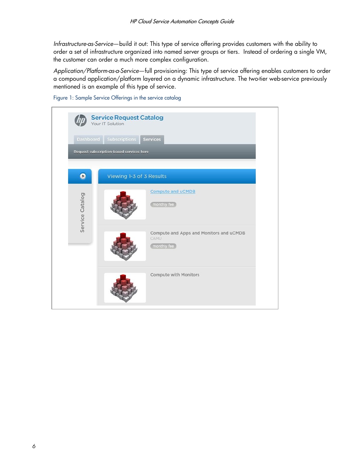*Infrastructure-as-Service*—build it out: This type of service offering provides customers with the ability to order a set of infrastructure organized into named server groups or tiers. Instead of ordering a single VM, the customer can order a much more complex configuration.

*Application/Platform-as-a-Service*—full provisioning: This type of service offering enables customers to order a compound application/platform layered on a dynamic infrastructure. The two-tier web-service previously mentioned is an example of this type of service.



<span id="page-5-0"></span>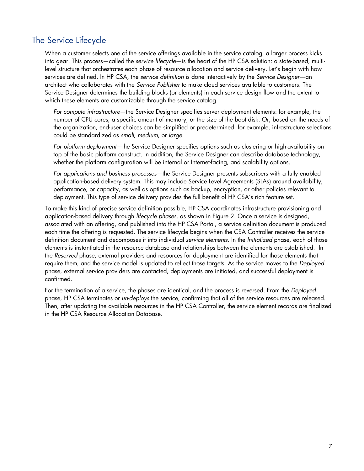## <span id="page-6-0"></span>The Service Lifecycle

When a customer selects one of the service offerings available in the service catalog, a larger process kicks into gear. This process—called the *service lifecycle*—is the heart of the HP CSA solution: a state-based, multilevel structure that orchestrates each phase of resource allocation and service delivery. Let's begin with how services are defined. In HP CSA, the *service definition* is done interactively by the *Service Designer*—an architect who collaborates with the *Service Publisher* to make cloud services available to customers. The Service Designer determines the building blocks (or elements) in each service design flow and the extent to which these elements are customizable through the service catalog.

*For compute infrastructure*—the Service Designer specifies server deployment elements: for example, the number of CPU cores, a specific amount of memory, or the size of the boot disk. Or, based on the needs of the organization, end-user choices can be simplified or predetermined: for example, infrastructure selections could be standardized as *small*, *medium*, or *large*.

*For platform deployment*—the Service Designer specifies options such as clustering or high-availability on top of the basic platform construct. In addition, the Service Designer can describe database technology, whether the platform configuration will be internal or Internet-facing, and scalability options.

*For applications and business processes*—the Service Designer presents subscribers with a fully enabled application-based delivery system. This may include Service Level Agreements (SLAs) around availability, performance, or capacity, as well as options such as backup, encryption, or other policies relevant to deployment. This type of service delivery provides the full benefit of HP CSA's rich feature set.

To make this kind of precise service definition possible, HP CSA coordinates infrastructure provisioning and application-based delivery through *lifecycle phases*, as shown in [Figure](#page-7-0) 2. Once a service is designed, associated with an offering, and published into the HP CSA Portal, a service definition document is produced each time the offering is requested. The service lifecycle begins when the CSA Controller receives the service definition document and decomposes it into individual *service elements*. In the *Initialized* phase, each of those elements is instantiated in the resource database and relationships between the elements are established. In the *Reserved* phase, external providers and resources for deployment are identified for those elements that require them, and the service model is updated to reflect those targets. As the service moves to the *Deployed* phase, external service providers are contacted, deployments are initiated, and successful deployment is confirmed.

For the termination of a service, the phases are identical, and the process is reversed. From the *Deployed* phase, HP CSA terminates or *un-deploys* the service, confirming that all of the service resources are released. Then, after updating the available resources in the HP CSA Controller, the service element records are finalized in the HP CSA Resource Allocation Database.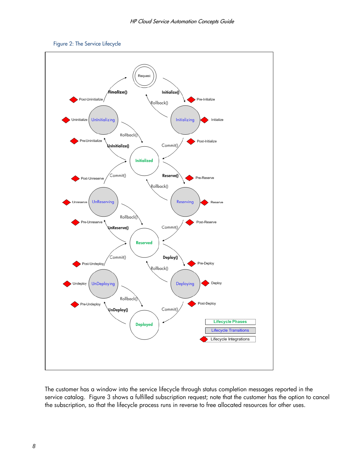<span id="page-7-1"></span>

<span id="page-7-0"></span>

The customer has a window into the service lifecycle through status completion messages reported in the service catalog. [Figure](#page-8-1) 3 shows a fulfilled subscription request; note that the customer has the option to cancel the subscription, so that the lifecycle process runs in reverse to free allocated resources for other uses.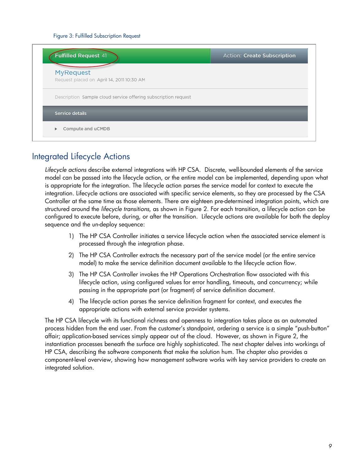#### Figure 3: Fulfilled Subscription Request

<span id="page-8-1"></span>

| Fulfilled Request 41                                           | Action: Create Subscription |
|----------------------------------------------------------------|-----------------------------|
| <b>MyRequest</b><br>Request placed on April 14, 2011 10:30 AM  |                             |
| Description Sample cloud service offering subscription request |                             |
| Service details                                                |                             |

## <span id="page-8-0"></span>Integrated Lifecycle Actions

*Lifecycle actions* describe external integrations with HP CSA. Discrete, well-bounded elements of the service model can be passed into the lifecycle action, or the entire model can be implemented, depending upon what is appropriate for the integration. The lifecycle action parses the service model for context to execute the integration. Lifecycle actions are associated with specific service elements, so they are processed by the CSA Controller at the same time as those elements. There are eighteen pre-determined integration points, which are structured around the *lifecycle transitions*, as shown in [Figure](#page-7-0) 2. For each transition, a lifecycle action can be configured to execute before, during, or after the transition. Lifecycle actions are available for both the deploy sequence and the un-deploy sequence:

- 1) The HP CSA Controller initiates a service lifecycle action when the associated service element is processed through the integration phase.
- 2) The HP CSA Controller extracts the necessary part of the service model (or the entire service model) to make the service definition document available to the lifecycle action flow.
- 3) The HP CSA Controller invokes the HP Operations Orchestration flow associated with this lifecycle action, using configured values for error handling, timeouts, and concurrency; while passing in the appropriate part (or fragment) of service definition document.
- 4) The lifecycle action parses the service definition fragment for context, and executes the appropriate actions with external service provider systems.

The HP CSA lifecycle with its functional richness and openness to integration takes place as an automated process hidden from the end user. From the customer's standpoint, ordering a service is a simple "push-button" affair; application-based services simply appear out of the cloud. However, as shown in [Figure](#page-7-0) 2, the instantiation processes beneath the surface are highly sophisticated. The next chapter delves into workings of HP CSA, describing the software components that make the solution hum. The chapter also provides a component-level overview, showing how management software works with key service providers to create an integrated solution.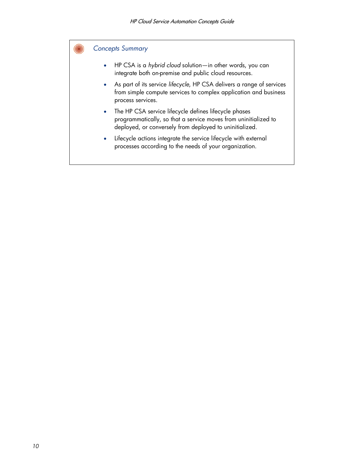### *Concepts Summary*

- HP CSA is a *hybrid cloud* solution—in other words, you can integrate both on-premise and public cloud resources.
- As part of its service *lifecycle*, HP CSA delivers a range of services from simple compute services to complex application and business process services.
- The HP CSA service lifecycle defines lifecycle phases programmatically, so that a service moves from uninitialized to deployed, or conversely from deployed to uninitialized.
- Lifecycle actions integrate the service lifecycle with external processes according to the needs of your organization.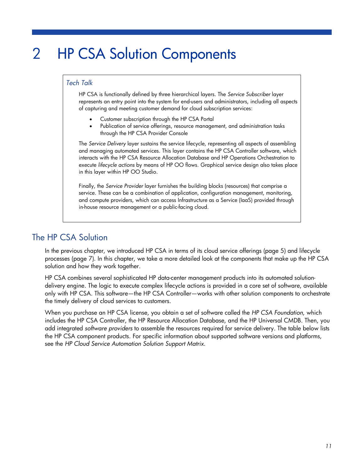# <span id="page-10-2"></span><span id="page-10-0"></span>2 HP CSA Solution Components

### *Tech Talk*

HP CSA is functionally defined by three hierarchical layers. The *Service Subscriber* layer represents an entry point into the system for end-users and administrators, including all aspects of capturing and meeting customer demand for cloud subscription services:

- Customer subscription through the HP CSA Portal
- Publication of service offerings, resource management, and administration tasks through the HP CSA Provider Console

The *Service Delivery* layer sustains the service lifecycle, representing all aspects of assembling and managing automated services. This layer contains the HP CSA Controller software, which interacts with the HP CSA Resource Allocation Database and HP Operations Orchestration to execute *lifecycle actions* by means of HP OO flows. Graphical service design also takes place in this layer within HP OO Studio.

Finally, the *Service Provider* layer furnishes the building blocks (resources) that comprise a service. These can be a combination of application, configuration management, monitoring, and compute providers, which can access Infrastructure as a Service (IaaS) provided through in-house resource management or a public-facing cloud.

## <span id="page-10-1"></span>The HP CSA Solution

In the previous chapter, we introduced HP CSA in terms of its cloud service offerings (page [5\)](#page-4-2) and lifecycle processes (page [7\)](#page-6-0). In this chapter, we take a more detailed look at the components that make up the HP CSA solution and how they work together.

HP CSA combines several sophisticated HP data-center management products into its automated solutiondelivery engine. The logic to execute complex lifecycle actions is provided in a core set of software, available only with HP CSA. This software—the HP CSA Controller—works with other solution components to orchestrate the timely delivery of cloud services to customers.

When you purchase an HP CSA license, you obtain a set of software called the *HP CSA Foundation*, which includes the HP CSA Controller, the HP Resource Allocation Database, and the HP Universal CMDB. Then, you add integrated *software providers* to assemble the resources required for service delivery. The table below lists the HP CSA component products. For specific information about supported software versions and platforms, see the *HP Cloud Service Automation Solution Support Matrix*.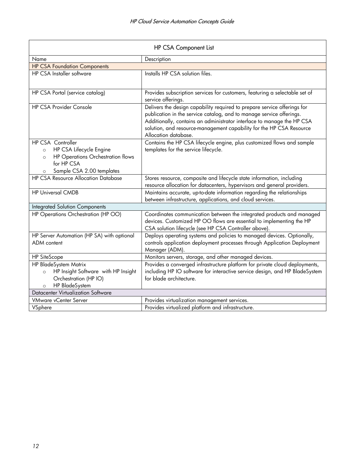| HP CSA Component List                                                                                                                                         |                                                                                                                                                                                                                                                                                                                            |  |  |
|---------------------------------------------------------------------------------------------------------------------------------------------------------------|----------------------------------------------------------------------------------------------------------------------------------------------------------------------------------------------------------------------------------------------------------------------------------------------------------------------------|--|--|
| Name                                                                                                                                                          | Description                                                                                                                                                                                                                                                                                                                |  |  |
| <b>HP CSA Foundation Components</b>                                                                                                                           |                                                                                                                                                                                                                                                                                                                            |  |  |
| <b>HP CSA Installer software</b>                                                                                                                              | Installs HP CSA solution files.                                                                                                                                                                                                                                                                                            |  |  |
| HP CSA Portal (service catalog)                                                                                                                               | Provides subscription services for customers, featuring a selectable set of<br>service offerings.                                                                                                                                                                                                                          |  |  |
| <b>HP CSA Provider Console</b>                                                                                                                                | Delivers the design capability required to prepare service offerings for<br>publication in the service catalog, and to manage service offerings.<br>Additionally, contains an administrator interface to manage the HP CSA<br>solution, and resource-management capability for the HP CSA Resource<br>Allocation database. |  |  |
| HP CSA Controller<br>HP CSA Lifecycle Engine<br>$\circ$<br>HP Operations Orchestration flows<br>$\circ$<br>for HP CSA<br>Sample CSA 2.00 templates<br>$\circ$ | Contains the HP CSA lifecycle engine, plus customized flows and sample<br>templates for the service lifecycle.                                                                                                                                                                                                             |  |  |
| <b>HP CSA Resource Allocation Database</b>                                                                                                                    | Stores resource, composite and lifecycle state information, including<br>resource allocation for datacenters, hypervisors and general providers.                                                                                                                                                                           |  |  |
| <b>HP Universal CMDB</b>                                                                                                                                      | Maintains accurate, up-to-date information regarding the relationships<br>between infrastructure, applications, and cloud services.                                                                                                                                                                                        |  |  |
| <b>Integrated Solution Components</b>                                                                                                                         |                                                                                                                                                                                                                                                                                                                            |  |  |
| HP Operations Orchestration (HP OO)                                                                                                                           | Coordinates communication between the integrated products and managed<br>devices. Customized HP OO flows are essential to implementing the HP<br>CSA solution lifecycle (see HP CSA Controller above).                                                                                                                     |  |  |
| HP Server Automation (HP SA) with optional<br><b>ADM</b> content                                                                                              | Deploys operating systems and policies to managed devices. Optionally,<br>controls application deployment processes through Application Deployment<br>Manager (ADM).                                                                                                                                                       |  |  |
| <b>HP SiteScope</b>                                                                                                                                           | Monitors servers, storage, and other managed devices.                                                                                                                                                                                                                                                                      |  |  |
| HP BladeSystem Matrix                                                                                                                                         | Provides a converged infrastructure platform for private cloud deployments,                                                                                                                                                                                                                                                |  |  |
| HP Insight Software with HP Insight<br>$\circ$                                                                                                                | including HP IO software for interactive service design, and HP BladeSystem                                                                                                                                                                                                                                                |  |  |
| Orchestration (HP IO)                                                                                                                                         | for blade architecture.                                                                                                                                                                                                                                                                                                    |  |  |
| HP BladeSystem<br>$\circ$                                                                                                                                     |                                                                                                                                                                                                                                                                                                                            |  |  |
| <b>Datacenter Virtualization Software</b>                                                                                                                     |                                                                                                                                                                                                                                                                                                                            |  |  |
| <b>VMware vCenter Server</b>                                                                                                                                  | Provides virtualization management services.                                                                                                                                                                                                                                                                               |  |  |
| VSphere                                                                                                                                                       | Provides virtualized platform and infrastructure.                                                                                                                                                                                                                                                                          |  |  |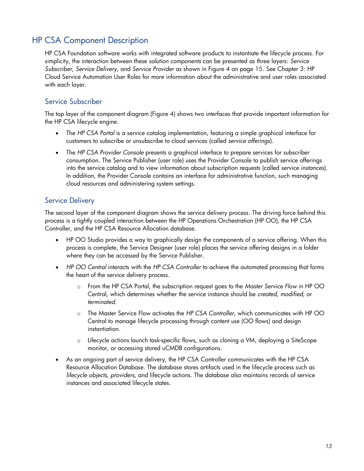# <span id="page-12-0"></span>HP CSA Component Description

HP CSA Foundation software works with integrated software products to instantiate the lifecycle process. For simplicity, the interaction between these *solution components* can be presented as three layers: *Service Subscriber*, *Service Delivery*, and *Service Provider* as shown in [Figure](#page-14-0) 4 on page [15.](#page-14-0) See Chapter [3: HP](#page-16-0)  [Cloud Service Automation User Roles](#page-16-0) for more information about the administrative and user roles associated with each layer.

### <span id="page-12-1"></span>Service Subscriber

The top layer of the component diagram [\(Figure](#page-14-0) 4) shows two interfaces that provide important information for the HP CSA lifecycle engine.

- The *HP CSA Portal* is a service catalog implementation, featuring a simple graphical interface for customers to subscribe or unsubscribe to cloud services (called *service offerings*).
- The *HP CSA Provider Console* presents a graphical interface to prepare services for subscriber consumption. The Service Publisher (user role) uses the Provider Console to publish service offerings into the service catalog and to view information about subscription requests (called *service instances*). In addition, the Provider Console contains an interface for administrative function, such managing cloud resources and administering system settings.

## <span id="page-12-2"></span>Service Delivery

The second layer of the component diagram shows the service delivery process. The driving force behind this process is a tightly coupled interaction between the HP Operations Orchestration (HP OO), the HP CSA Controller, and the HP CSA Resource Allocation database.

- HP OO Studio provides a way to graphically design the components of a service offering. When this process is complete, the Service Designer (user role) places the service offering designs in a folder where they can be accessed by the Service Publisher.
- *HP OO Central* interacts with the *HP CSA Controller* to achieve the automated processing that forms the heart of the service delivery process.
	- o From the HP CSA Portal, the subscription request goes to the *Master Service Flow* in HP OO Central, which determines whether the service instance should be *created*, *modified*, or *terminated*.
	- o The Master Service Flow activates the *HP CSA Controller*, which communicates with HP OO Central to manage lifecycle processing through content use (OO flows) and design instantiation.
	- Lifecycle actions launch task-specific flows, such as cloning a VM, deploying a SiteScope monitor, or accessing stored uCMDB configurations.
- As an ongoing part of service delivery, the HP CSA Controller communicates with the HP CSA Resource Allocation Database. The database stores artifacts used in the lifecycle process such as *lifecycle objects*, *providers*, and lifecycle actions. The database also maintains records of service instances and associated lifecycle states.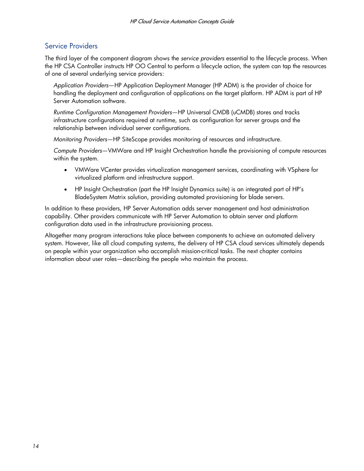### <span id="page-13-0"></span>Service Providers

The third layer of the component diagram shows the *service providers* essential to the lifecycle process. When the HP CSA Controller instructs HP OO Central to perform a lifecycle action, the system can tap the resources of one of several underlying service providers:

*Application Providers*—HP Application Deployment Manager (HP ADM) is the provider of choice for handling the deployment and configuration of applications on the target platform. HP ADM is part of HP Server Automation software.

*Runtime Configuration Management Providers*—HP Universal CMDB (uCMDB) stores and tracks infrastructure configurations required at runtime, such as configuration for server groups and the relationship between individual server configurations.

*Monitoring Providers*—HP SiteScope provides monitoring of resources and infrastructure.

*Compute Providers*—VMWare and HP Insight Orchestration handle the provisioning of compute resources within the system.

- VMWare VCenter provides virtualization management services, coordinating with VSphere for virtualized platform and infrastructure support.
- HP Insight Orchestration (part the HP Insight Dynamics suite) is an integrated part of HP's BladeSystem Matrix solution, providing automated provisioning for blade servers.

In addition to these providers, HP Server Automation adds server management and host administration capability. Other providers communicate with HP Server Automation to obtain server and platform configuration data used in the infrastructure provisioning process.

Altogether many program interactions take place between components to achieve an automated delivery system. However, like all cloud computing systems, the delivery of HP CSA cloud services ultimately depends on people within your organization who accomplish mission-critical tasks. The next chapter contains information about user roles—describing the people who maintain the process.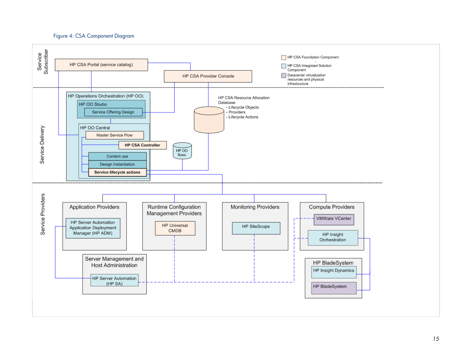#### Figure 4: CSA Component Diagram

<span id="page-14-1"></span><span id="page-14-0"></span>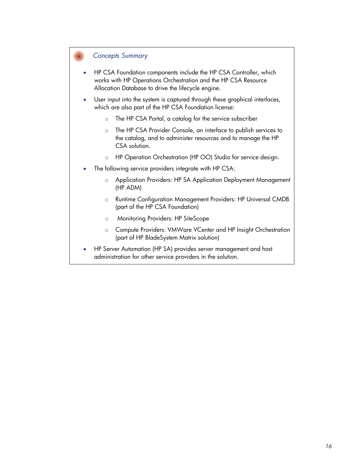### *Concepts Summary*

- HP CSA Foundation components include the HP CSA Controller, which works with HP Operations Orchestration and the HP CSA Resource Allocation Database to drive the lifecycle engine.
- User input into the system is captured through these graphical interfaces, which are also part of the HP CSA Foundation license:
	- o The HP CSA Portal, a catalog for the service subscriber
	- o The HP CSA Provider Console, an interface to publish services to the catalog, and to administer resources and to manage the HP CSA solution.
	- o HP Operation Orchestration (HP OO) Studio for service design.
- The following service providers integrate with HP CSA:
	- o Application Providers: HP SA Application Deployment Management (HP ADM)
	- o Runtime Configuration Management Providers: HP Universal CMDB (part of the HP CSA Foundation)
	- o Monitoring Providers: HP SiteScope
	- o Compute Providers: VMWare VCenter and HP Insight Orchestration (part of HP BladeSystem Matrix solution)
- HP Server Automation (HP SA) provides server management and host administration for other service providers in the solution.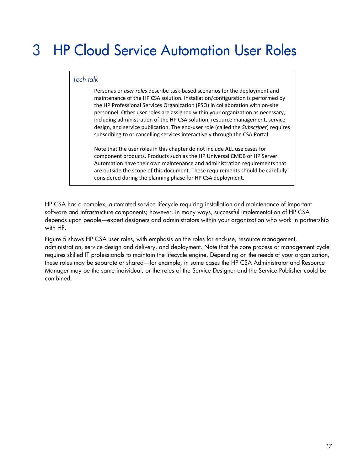# <span id="page-16-0"></span>3 HP Cloud Service Automation User Roles

### *Tech talk*

Personas or *user roles* describe task-based scenarios for the deployment and maintenance of the HP CSA solution. Installation/configuration is performed by the HP Professional Services Organization (PSO) in collaboration with on-site personnel. Other user roles are assigned within your organization as necessary, including administration of the HP CSA solution, resource management, service design, and service publication. The end-user role (called the *Subscriber*) requires subscribing to or cancelling services interactively through the CSA Portal.

Note that the user roles in this chapter do not include ALL use cases for component products. Products such as the HP Universal CMDB or HP Server Automation have their own maintenance and administration requirements that are outside the scope of this document. These requirements should be carefully considered during the planning phase for HP CSA deployment.

HP CSA has a complex, automated service lifecycle requiring installation and maintenance of important software and infrastructure components; however, in many ways, successful implementation of HP CSA depends upon people—expert designers and administrators within your organization who work in partnership with HP.

[Figure](#page-17-0) 5 shows HP CSA user roles, with emphasis on the roles for end-use, resource management, administration, service design and delivery, and deployment. Note that the core process or management cycle requires skilled IT professionals to maintain the lifecycle engine. Depending on the needs of your organization, these roles may be separate or shared—for example, in some cases the HP CSA Administrator and Resource Manager may be the same individual, or the roles of the Service Designer and the Service Publisher could be combined.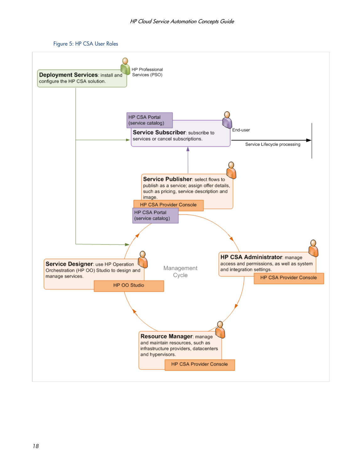

<span id="page-17-0"></span>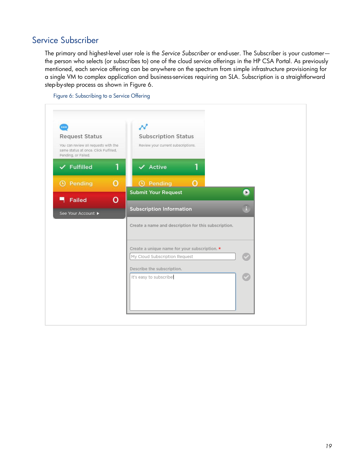# <span id="page-18-0"></span>Service Subscriber

The primary and highest-level user role is the *Service Subscriber* or end-user. The Subscriber is your customer the person who selects (or subscribes to) one of the cloud service offerings in the HP CSA Portal. As previously mentioned, each service offering can be anywhere on the spectrum from simple infrastructure provisioning for a single VM to complex application and business-services requiring an SLA. Subscription is a straightforward step-by-step process as shown in [Figure](#page-18-1) 6.

<span id="page-18-1"></span>

Figure 6: Subscribing to a Service Offering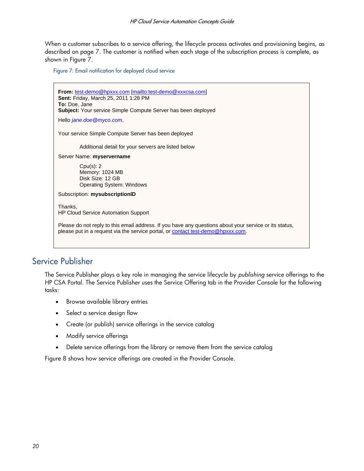When a customer subscribes to a service offering, the lifecycle process activates and provisioning begins, as described on page [7.](#page-6-0) The customer is notified when each stage of the subscription process is complete, as shown in [Figure](#page-19-1) 7.

<span id="page-19-1"></span>Figure 7: Email notification for deployed cloud service

**From:** test-demo@hpxxx.com [mailto:test-demo@xxxcsa.com] **Sent:** Friday, March 25, 2011 1:28 PM **To:** Doe, Jane **Subject:** Your service Simple Compute Server has been deployed Hello *[jane.doe@myco.com](mailto:jane.doe@myco.com)*, Your service Simple Compute Server has been deployed Additional detail for your servers are listed below Server Name: **myservername** Cpu(s): 2 Memory: 1024 MB Disk Size: 12 GB Operating System: Windows Subscription: **mysubscriptionID** Thanks, HP Cloud Service Automation Support Please do not reply to this email address. If you have any questions about your service or its status, please put in a request via the service portal, or contact test-demo@hpxxx.com.

# <span id="page-19-0"></span>Service Publisher

The Service Publisher plays a key role in managing the service lifecycle by *publishing* service offerings to the HP CSA Portal. The Service Publisher uses the Service Offering tab in the Provider Console for the following tasks:

- Browse available library entries
- Select a service design flow
- Create (or publish) service offerings in the service catalog
- Modify service offerings
- Delete service offerings from the library or remove them from the service catalog

[Figure](#page-20-1) 8 shows how service offerings are created in the Provider Console.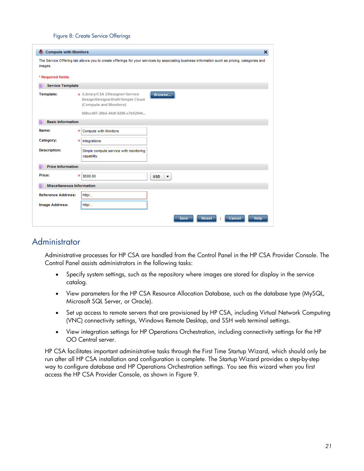#### Figure 8: Create Service Offerings

<span id="page-20-1"></span>

| <b>Compute with Monitors</b>                                                                                                                             | ×                                                                                                                                              |  |  |  |  |
|----------------------------------------------------------------------------------------------------------------------------------------------------------|------------------------------------------------------------------------------------------------------------------------------------------------|--|--|--|--|
| The Service Offering tab allows you to create offerings for your services by associating business information such as pricing, categories and<br>images. |                                                                                                                                                |  |  |  |  |
| * Required fields                                                                                                                                        |                                                                                                                                                |  |  |  |  |
| <b>Service Template</b><br>距                                                                                                                             |                                                                                                                                                |  |  |  |  |
| Template:                                                                                                                                                | * /Library/CSA 2/Designer/Service<br>Browse<br>Design/Designs/Draft/Simple Cloud<br>(Compute and Monitors)<br>508cc407-28b5-44df-8286-c7b52044 |  |  |  |  |
| <b>Basic Information</b><br>距                                                                                                                            |                                                                                                                                                |  |  |  |  |
| Name:                                                                                                                                                    | Compute with Monitors<br>乐                                                                                                                     |  |  |  |  |
| Category:                                                                                                                                                | 宋<br>Integrations                                                                                                                              |  |  |  |  |
| <b>Description:</b>                                                                                                                                      | Simple compute service with monitoring<br>capability                                                                                           |  |  |  |  |
| <b>Price Information</b><br>詎                                                                                                                            |                                                                                                                                                |  |  |  |  |
| Price:                                                                                                                                                   | 来<br>\$500.00<br><b>USD</b><br>▼                                                                                                               |  |  |  |  |
| <b>Miscellaneous Information</b><br>詎                                                                                                                    |                                                                                                                                                |  |  |  |  |
| <b>Reference Address:</b>                                                                                                                                | http/                                                                                                                                          |  |  |  |  |
| <b>Image Address:</b>                                                                                                                                    | http/                                                                                                                                          |  |  |  |  |
|                                                                                                                                                          | Help<br><b>Save</b><br>Reset<br>Cancel                                                                                                         |  |  |  |  |

## <span id="page-20-0"></span>**Administrator**

Administrative processes for HP CSA are handled from the Control Panel in the HP CSA Provider Console. The Control Panel assists administrators in the following tasks:

- Specify system settings, such as the repository where images are stored for display in the service catalog.
- View parameters for the HP CSA Resource Allocation Database, such as the database type (MySQL, Microsoft SQL Server, or Oracle).
- Set up access to remote servers that are provisioned by HP CSA, including Virtual Network Computing (VNC) connectivity settings, Windows Remote Desktop, and SSH web terminal settings.
- View integration settings for HP Operations Orchestration, including connectivity settings for the HP OO Central server.

HP CSA facilitates important administrative tasks through the First Time Startup Wizard, which should only be run after all HP CSA installation and configuration is complete. The Startup Wizard provides a step-by-step way to configure database and HP Operations Orchestration settings. You see this wizard when you first access the HP CSA Provider Console, as shown in [Figure](#page-21-1) 9.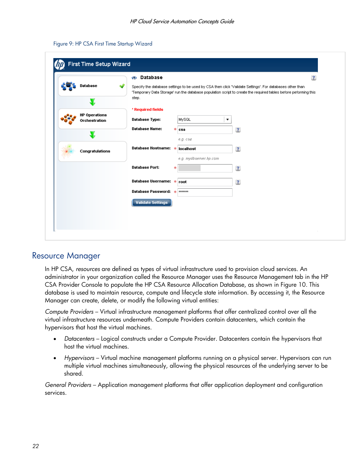| Figure 9: HP CSA First Time Startup Wizard |  |  |  |
|--------------------------------------------|--|--|--|
|--------------------------------------------|--|--|--|

<span id="page-21-1"></span>

|                                       | <b>Database</b><br>454   |                                                                                                                                                                                                                             | $\mathbf{?}$ |
|---------------------------------------|--------------------------|-----------------------------------------------------------------------------------------------------------------------------------------------------------------------------------------------------------------------------|--------------|
| Database                              |                          | Specify the database settings to be used by CSA then click "Validate Settings'. For databases other than<br>'Temporary Data Storage' run the database population script to create the required tables before peforming this |              |
|                                       | step.                    |                                                                                                                                                                                                                             |              |
|                                       | * Required fields        |                                                                                                                                                                                                                             |              |
| <b>HP Operations</b><br>Orchestration | Database Type:           | MySQL<br>▼                                                                                                                                                                                                                  |              |
|                                       | <b>Database Name:</b>    | 宋<br>$\overline{\mathbf{?}}$<br>$csa$                                                                                                                                                                                       |              |
|                                       |                          | e.g. csa                                                                                                                                                                                                                    |              |
| Congratulations                       | Database Hostname:       | $\overline{\mathbf{?}}$<br>localhost<br>-sk                                                                                                                                                                                 |              |
|                                       |                          | e.g. mydbserver.hp.com                                                                                                                                                                                                      |              |
|                                       | <b>Database Port:</b>    | $\overline{\mathbf{?}}$<br>宋                                                                                                                                                                                                |              |
|                                       | Database Username: *     | $\overline{\mathbf{?}}$<br>root                                                                                                                                                                                             |              |
|                                       | Database Password: *     | *******                                                                                                                                                                                                                     |              |
|                                       | <b>Validate Settings</b> |                                                                                                                                                                                                                             |              |
|                                       |                          |                                                                                                                                                                                                                             |              |

## <span id="page-21-0"></span>Resource Manager

In HP CSA, *resources* are defined as types of virtual infrastructure used to provision cloud services. An administrator in your organization called the Resource Manager uses the Resource Management tab in the HP CSA Provider Console to populate the HP CSA Resource Allocation Database, as shown in [Figure](#page-22-1) 10. This database is used to maintain resource, compute and lifecycle state information. By accessing it, the Resource Manager can create, delete, or modify the following virtual entities:

*Compute Providers* – Virtual infrastructure management platforms that offer centralized control over all the virtual infrastructure resources underneath. Compute Providers contain datacenters, which contain the hypervisors that host the virtual machines.

- *Datacenters* Logical constructs under a Compute Provider. Datacenters contain the hypervisors that host the virtual machines.
- *Hypervisors* Virtual machine management platforms running on a physical server. Hypervisors can run multiple virtual machines simultaneously, allowing the physical resources of the underlying server to be shared.

*General Providers* – Application management platforms that offer application deployment and configuration services.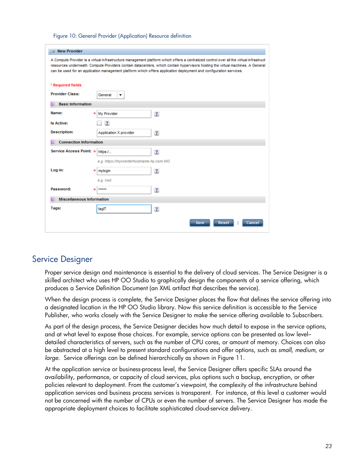Figure 10: General Provider (Application) Resource definition

<span id="page-22-1"></span>

| New Provider<br>A Compute Provider is a virtual infrastructure management platform which offers a centralized control over all the virtual infrastruct<br>resources underneath. Compute Providers contain datacenters, which contain hypervisors hosting the virtual machines. A General<br>can be used for an application management platform which offers application deployment and configuration services.<br>* Required fields<br><b>Provider Class:</b><br>General<br>▼<br><b>Basic Information</b><br>詎 |  |  |  |  |
|----------------------------------------------------------------------------------------------------------------------------------------------------------------------------------------------------------------------------------------------------------------------------------------------------------------------------------------------------------------------------------------------------------------------------------------------------------------------------------------------------------------|--|--|--|--|
|                                                                                                                                                                                                                                                                                                                                                                                                                                                                                                                |  |  |  |  |
|                                                                                                                                                                                                                                                                                                                                                                                                                                                                                                                |  |  |  |  |
|                                                                                                                                                                                                                                                                                                                                                                                                                                                                                                                |  |  |  |  |
|                                                                                                                                                                                                                                                                                                                                                                                                                                                                                                                |  |  |  |  |
|                                                                                                                                                                                                                                                                                                                                                                                                                                                                                                                |  |  |  |  |
| Name:<br>$\overline{\mathbf{?}}$<br>My Provider<br>*                                                                                                                                                                                                                                                                                                                                                                                                                                                           |  |  |  |  |
| $\overline{?}$<br><b>Is Active:</b>                                                                                                                                                                                                                                                                                                                                                                                                                                                                            |  |  |  |  |
| <b>Description:</b><br>$\overline{\mathbf{?}}$<br>Application X provider                                                                                                                                                                                                                                                                                                                                                                                                                                       |  |  |  |  |
| <b>Connection Information</b><br>詎                                                                                                                                                                                                                                                                                                                                                                                                                                                                             |  |  |  |  |
| <b>Service Access Point: *</b><br>$\overline{?}$<br>https:/                                                                                                                                                                                                                                                                                                                                                                                                                                                    |  |  |  |  |
| e.g. https://myvcenterhostname.hp.com:443                                                                                                                                                                                                                                                                                                                                                                                                                                                                      |  |  |  |  |
| Log in:<br>$\overline{\mathbf{?}}$<br>*<br>mylogin                                                                                                                                                                                                                                                                                                                                                                                                                                                             |  |  |  |  |
| e.g. root                                                                                                                                                                                                                                                                                                                                                                                                                                                                                                      |  |  |  |  |
| Password:<br>$*****$<br>$\overline{\mathbf{?}}$<br>sk.                                                                                                                                                                                                                                                                                                                                                                                                                                                         |  |  |  |  |
| <b>Miscellaneous Information</b><br>詎                                                                                                                                                                                                                                                                                                                                                                                                                                                                          |  |  |  |  |
| Tags:<br>$\overline{\mathbf{?}}$<br>taglT                                                                                                                                                                                                                                                                                                                                                                                                                                                                      |  |  |  |  |
|                                                                                                                                                                                                                                                                                                                                                                                                                                                                                                                |  |  |  |  |
| Save<br>Reset<br>Cancel                                                                                                                                                                                                                                                                                                                                                                                                                                                                                        |  |  |  |  |

### <span id="page-22-0"></span>Service Designer

Proper service design and maintenance is essential to the delivery of cloud services. The Service Designer is a skilled architect who uses HP OO Studio to graphically design the components of a service offering, which produces a Service Definition Document (an XML artifact that describes the service).

When the design process is complete, the Service Designer places the flow that defines the service offering into a designated location in the HP OO Studio library. Now this service definition is accessible to the Service Publisher, who works closely with the Service Designer to make the service offering available to Subscribers.

As part of the design process, the Service Designer decides how much detail to expose in the service options, and at what level to expose those choices. For example, service options can be presented as low level– detailed characteristics of servers, such as the number of CPU cores, or amount of memory. Choices can also be abstracted at a high level to present standard configurations and offer options, such as *small*, *medium*, or *large*. Service offerings can be defined hierarchically as shown in [Figure](#page-23-1) 11.

At the application service or business-process level, the Service Designer offers specific SLAs around the availability, performance, or capacity of cloud services, plus options such a backup, encryption, or other policies relevant to deployment. From the customer's viewpoint, the complexity of the infrastructure behind application services and business process services is transparent. For instance, at this level a customer would not be concerned with the number of CPUs or even the number of servers. The Service Designer has made the appropriate deployment choices to facilitate sophisticated cloud-service delivery.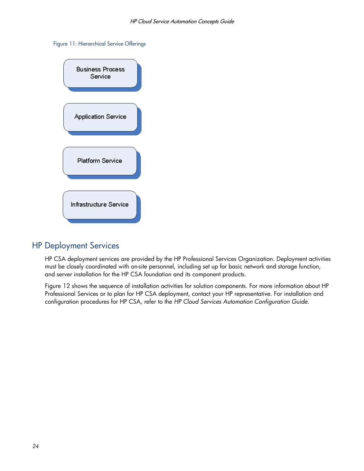#### <span id="page-23-1"></span>Figure 11: Hierarchical Service Offerings



## <span id="page-23-0"></span>HP Deployment Services

HP CSA deployment services are provided by the HP Professional Services Organization. Deployment activities must be closely coordinated with on-site personnel, including set up for basic network and storage function, and server installation for the HP CSA foundation and its component products.

[Figure](#page-24-0) 12 shows the sequence of installation activities for solution components. For more information about HP Professional Services or to plan for HP CSA deployment, contact your HP representative. For installation and configuration procedures for HP CSA, refer to the *HP Cloud Services Automation Configuration Guide*.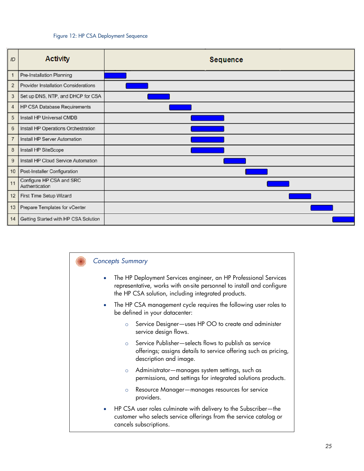#### Figure 12: HP CSA Deployment Sequence

<span id="page-24-0"></span>



- The HP Deployment Services engineer, an HP Professional Services representative, works with on-site personnel to install and configure the HP CSA solution, including integrated products.
- The HP CSA management cycle requires the following user roles to be defined in your datacenter:
	- o Service Designer—uses HP OO to create and administer service design flows.
	- o Service Publisher—selects flows to publish as service offerings; assigns details to service offering such as pricing, description and image.
	- o Administrator—manages system settings, such as permissions, and settings for integrated solutions products.
	- o Resource Manager—manages resources for service providers.
- HP CSA user roles culminate with delivery to the Subscriber—the customer who selects service offerings from the service catalog or cancels subscriptions.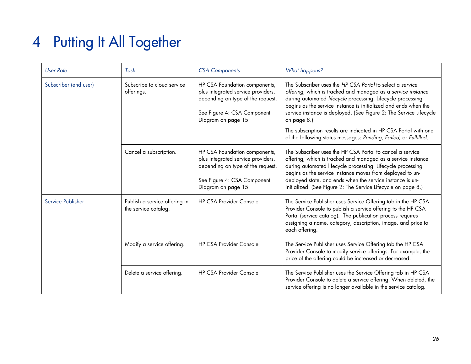# 4 Putting It All Together

<span id="page-25-0"></span>

| <b>User Role</b>      | Task                                                  | <b>CSA Components</b>                                                                                                                                          | <b>What happens?</b>                                                                                                                                                                                                                                                                                                                                                                                                                                                                     |
|-----------------------|-------------------------------------------------------|----------------------------------------------------------------------------------------------------------------------------------------------------------------|------------------------------------------------------------------------------------------------------------------------------------------------------------------------------------------------------------------------------------------------------------------------------------------------------------------------------------------------------------------------------------------------------------------------------------------------------------------------------------------|
| Subscriber (end user) | Subscribe to cloud service<br>offerings.              | HP CSA Foundation components,<br>plus integrated service providers,<br>depending on type of the request.<br>See Figure 4: CSA Component<br>Diagram on page 15. | The Subscriber uses the HP CSA Portal to select a service<br>offering, which is tracked and managed as a service instance<br>during automated lifecycle processing. Lifecycle processing<br>begins as the service instance is initialized and ends when the<br>service instance is deployed. (See Figure 2: The Service Lifecycle<br>on page 8.)<br>The subscription results are indicated in HP CSA Portal with one<br>of the following status messages: Pending, Failed, or Fulfilled. |
|                       | Cancel a subscription.                                | HP CSA Foundation components,<br>plus integrated service providers,<br>depending on type of the request.<br>See Figure 4: CSA Component<br>Diagram on page 15. | The Subscriber uses the HP CSA Portal to cancel a service<br>offering, which is tracked and managed as a service instance<br>during automated lifecycle processing. Lifecycle processing<br>begins as the service instance moves from deployed to un-<br>deployed state, and ends when the service instance is un-<br>initialized. (See Figure 2: The Service Lifecycle on page 8.)                                                                                                      |
| Service Publisher     | Publish a service offering in<br>the service catalog. | <b>HP CSA Provider Console</b>                                                                                                                                 | The Service Publisher uses Service Offering tab in the HP CSA<br>Provider Console to publish a service offering to the HP CSA<br>Portal (service catalog). The publication process requires<br>assigning a name, category, description, image, and price to<br>each offering.                                                                                                                                                                                                            |
|                       | Modify a service offering.                            | <b>HP CSA Provider Console</b>                                                                                                                                 | The Service Publisher uses Service Offering tab the HP CSA<br>Provider Console to modify service offerings. For example, the<br>price of the offering could be increased or decreased.                                                                                                                                                                                                                                                                                                   |
|                       | Delete a service offering.                            | <b>HP CSA Provider Console</b>                                                                                                                                 | The Service Publisher uses the Service Offering tab in HP CSA<br>Provider Console to delete a service offering. When deleted, the<br>service offering is no longer available in the service catalog.                                                                                                                                                                                                                                                                                     |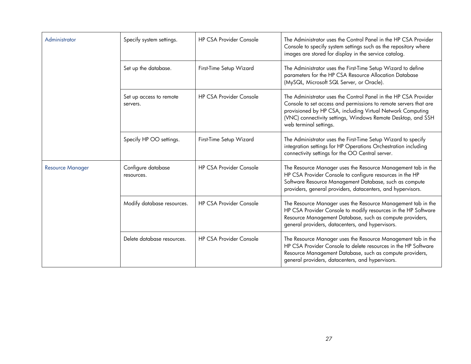| Administrator           | Specify system settings.            | <b>HP CSA Provider Console</b> | The Administrator uses the Control Panel in the HP CSA Provider<br>Console to specify system settings such as the repository where<br>images are stored for display in the service catalog.                                                                                                 |
|-------------------------|-------------------------------------|--------------------------------|---------------------------------------------------------------------------------------------------------------------------------------------------------------------------------------------------------------------------------------------------------------------------------------------|
|                         | Set up the database.                | First-Time Setup Wizard        | The Administrator uses the First-Time Setup Wizard to define<br>parameters for the HP CSA Resource Allocation Database<br>(MySQL, Microsoft SQL Server, or Oracle).                                                                                                                         |
|                         | Set up access to remote<br>servers. | <b>HP CSA Provider Console</b> | The Administrator uses the Control Panel in the HP CSA Provider<br>Console to set access and permissions to remote servers that are<br>provisioned by HP CSA, including Virtual Network Computing<br>(VNC) connectivity settings, Windows Remote Desktop, and SSH<br>web terminal settings. |
|                         | Specify HP OO settings.             | First-Time Setup Wizard        | The Administrator uses the First-Time Setup Wizard to specify<br>integration settings for HP Operations Orchestration including<br>connectivity settings for the OO Central server.                                                                                                         |
| <b>Resource Manager</b> | Configure database<br>resources.    | <b>HP CSA Provider Console</b> | The Resource Manager uses the Resource Management tab in the<br>HP CSA Provider Console to configure resources in the HP<br>Software Resource Management Database, such as compute<br>providers, general providers, datacenters, and hypervisors.                                           |
|                         | Modify database resources.          | <b>HP CSA Provider Console</b> | The Resource Manager uses the Resource Management tab in the<br>HP CSA Provider Console to modify resources in the HP Software<br>Resource Management Database, such as compute providers,<br>general providers, datacenters, and hypervisors.                                              |
|                         | Delete database resources.          | <b>HP CSA Provider Console</b> | The Resource Manager uses the Resource Management tab in the<br>HP CSA Provider Console to delete resources in the HP Software<br>Resource Management Database, such as compute providers,<br>general providers, datacenters, and hypervisors.                                              |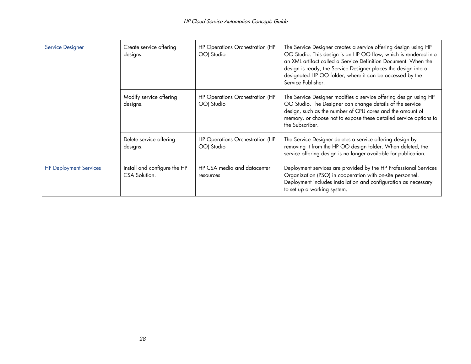| <b>Service Designer</b>       | Create service offering<br>designs.           | HP Operations Orchestration (HP<br>OO) Studio | The Service Designer creates a service offering design using HP<br>OO Studio. This design is an HP OO flow, which is rendered into<br>an XML artifact called a Service Definition Document. When the<br>design is ready, the Service Designer places the design into a<br>designated HP OO folder, where it can be accessed by the<br>Service Publisher. |
|-------------------------------|-----------------------------------------------|-----------------------------------------------|----------------------------------------------------------------------------------------------------------------------------------------------------------------------------------------------------------------------------------------------------------------------------------------------------------------------------------------------------------|
|                               | Modify service offering<br>designs.           | HP Operations Orchestration (HP<br>OO) Studio | The Service Designer modifies a service offering design using HP<br>OO Studio. The Designer can change details of the service<br>design, such as the number of CPU cores and the amount of<br>memory, or choose not to expose these detailed service options to<br>the Subscriber.                                                                       |
|                               | Delete service offering<br>designs.           | HP Operations Orchestration (HP<br>OO) Studio | The Service Designer deletes a service offering design by<br>removing it from the HP OO design folder. When deleted, the<br>service offering design is no longer available for publication.                                                                                                                                                              |
| <b>HP Deployment Services</b> | Install and configure the HP<br>CSA Solution. | HP CSA media and datacenter<br>resources      | Deployment services are provided by the HP Professional Services<br>Organization (PSO) in cooperation with on-site personnel.<br>Deployment includes installation and configuration as necessary<br>to set up a working system.                                                                                                                          |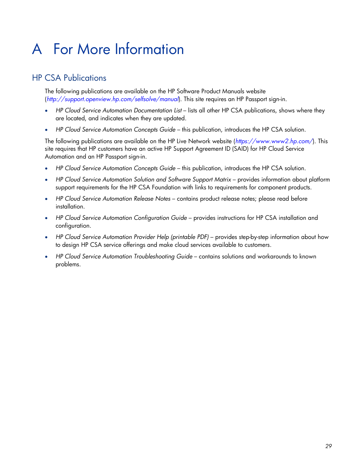# <span id="page-28-0"></span>A For More Information

# <span id="page-28-1"></span>HP CSA Publications

The following publications are available on the HP Software Product Manuals website (*[http://support.openview.hp.com/selfsolve/manual](http://support.openview.hp.com/selfsolve/manuals)*). This site requires an HP Passport sign-in.

- *HP Cloud Service Automation Documentation List* lists all other HP CSA publications, shows where they are located, and indicates when they are updated.
- **•** HP Cloud Service Automation Concepts Guide this publication, introduces the HP CSA solution.

The following publications are available on the HP Live Network website (*<https://www.www2.hp.com/>*). This site requires that HP customers have an active HP Support Agreement ID (SAID) for HP Cloud Service Automation and an HP Passport sign-in.

- *HP Cloud Service Automation Concepts Guide* this publication, introduces the HP CSA solution.
- *HP Cloud Service Automation Solution and Software Support Matrix* provides information about platform support requirements for the HP CSA Foundation with links to requirements for component products.
- *HP Cloud Service Automation Release Notes* contains product release notes; please read before installation.
- *HP Cloud Service Automation Configuration Guide* provides instructions for HP CSA installation and configuration.
- *HP Cloud Service Automation Provider Help (printable PDF)* provides step-by-step information about how to design HP CSA service offerings and make cloud services available to customers.
- *HP Cloud Service Automation Troubleshooting Guide* contains solutions and workarounds to known problems.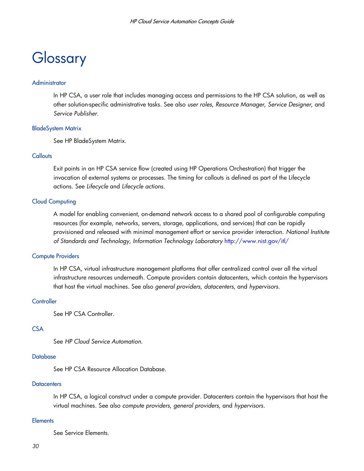# <span id="page-29-0"></span>**Glossary**

#### **Administrator**

In HP CSA, a user role that includes managing access and permissions to the HP CSA solution, as well as other solution-specific administrative tasks. See also *user roles*, *Resource Manager*, *Service Designer*, and *Service Publisher*.

#### BladeSystem Matrix

See HP BladeSystem Matrix.

#### **Callouts**

Exit points in an HP CSA service flow (created using HP Operations Orchestration) that trigger the invocation of external systems or processes. The timing for callouts is defined as part of the Lifecycle actions. See *Lifecycle* and *Lifecycle actions.*

#### Cloud Computing

A model for enabling convenient, on-demand network access to a shared pool of configurable computing resources (for example, networks, servers, storage, applications, and services) that can be rapidly provisioned and released with minimal management effort or service provider interaction. *National Institute of Standards and Technology, Information Technology Laboratory* <http://www.nist.gov/itl/>

#### Compute Providers

In HP CSA, virtual infrastructure management platforms that offer centralized control over all the virtual infrastructure resources underneath. Compute providers contain datacenters, which contain the hypervisors that host the virtual machines. See also *general providers*, *datacenters*, and *hypervisors*.

#### **Controller**

See HP CSA Controller.

#### **CSA**

See *HP Cloud Service Automation*.

#### **Database**

See HP CSA Resource Allocation Database.

#### **Datacenters**

In HP CSA, a logical construct under a compute provider. Datacenters contain the hypervisors that host the virtual machines. See also *compute providers*, *general providers,* and *hypervisors*.

#### **Elements**

See Service Elements.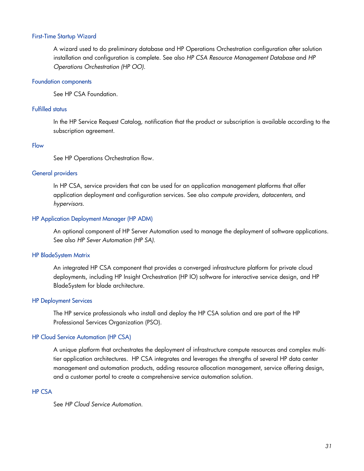#### First-Time Startup Wizard

A wizard used to do preliminary database and HP Operations Orchestration configuration after solution installation and configuration is complete. See also *HP CSA Resource Management Database* and *HP Operations Orchestration (HP OO)*.

#### Foundation components

See HP CSA Foundation.

#### Fulfilled status

In the HP Service Request Catalog, notification that the product or subscription is available according to the subscription agreement.

#### Flow

See HP Operations Orchestration flow.

#### General providers

In HP CSA, service providers that can be used for an application management platforms that offer application deployment and configuration services. See also *compute providers*, *datacenters*, and *hypervisors*.

#### HP Application Deployment Manager (HP ADM)

An optional component of HP Server Automation used to manage the deployment of software applications. See also *HP Sever Automation (HP SA)*.

#### HP BladeSystem Matrix

An integrated HP CSA component that provides a converged infrastructure platform for private cloud deployments, including HP Insight Orchestration (HP IO) software for interactive service design, and HP BladeSystem for blade architecture.

#### HP Deployment Services

The HP service professionals who install and deploy the HP CSA solution and are part of the HP Professional Services Organization (PSO).

#### HP Cloud Service Automation (HP CSA)

A unique platform that orchestrates the deployment of infrastructure compute resources and complex multitier application architectures. HP CSA integrates and leverages the strengths of several HP data center management and automation products, adding resource allocation management, service offering design, and a customer portal to create a comprehensive service automation solution.

#### HP CSA

See *HP Cloud Service Automation*.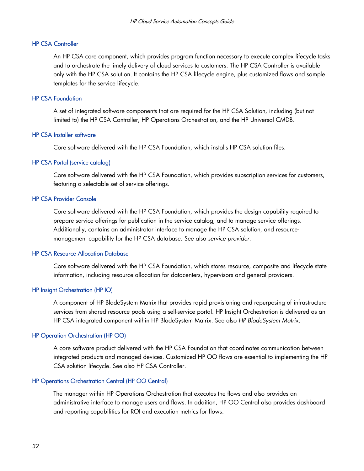#### HP CSA Controller

An HP CSA core component, which provides program function necessary to execute complex lifecycle tasks and to orchestrate the timely delivery of cloud services to customers. The HP CSA Controller is available only with the HP CSA solution. It contains the HP CSA lifecycle engine, plus customized flows and sample templates for the service lifecycle.

#### HP CSA Foundation

A set of integrated software components that are required for the HP CSA Solution, including (but not limited to) the HP CSA Controller, HP Operations Orchestration, and the HP Universal CMDB.

#### HP CSA Installer software

Core software delivered with the HP CSA Foundation, which installs HP CSA solution files.

#### HP CSA Portal (service catalog)

Core software delivered with the HP CSA Foundation, which provides subscription services for customers, featuring a selectable set of service offerings.

#### HP CSA Provider Console

Core software delivered with the HP CSA Foundation, which provides the design capability required to prepare service offerings for publication in the service catalog, and to manage service offerings. Additionally, contains an administrator interface to manage the HP CSA solution, and resourcemanagement capability for the HP CSA database. See also *service provider*.

#### HP CSA Resource Allocation Database

Core software delivered with the HP CSA Foundation, which stores resource, composite and lifecycle state information, including resource allocation for datacenters, hypervisors and general providers.

#### HP Insight Orchestration (HP IO)

A component of HP BladeSystem Matrix that provides rapid provisioning and repurposing of infrastructure services from shared resource pools using a self-service portal. HP Insight Orchestration is delivered as an HP CSA integrated component within HP BladeSystem Matrix. See also *HP BladeSystem Matrix*.

#### HP Operation Orchestration (HP OO)

A core software product delivered with the HP CSA Foundation that coordinates communication between integrated products and managed devices. Customized HP OO flows are essential to implementing the HP CSA solution lifecycle. See also HP CSA Controller.

#### HP Operations Orchestration Central (HP OO Central)

The manager within HP Operations Orchestration that executes the flows and also provides an administrative interface to manage users and flows. In addition, HP OO Central also provides dashboard and reporting capabilities for ROI and execution metrics for flows.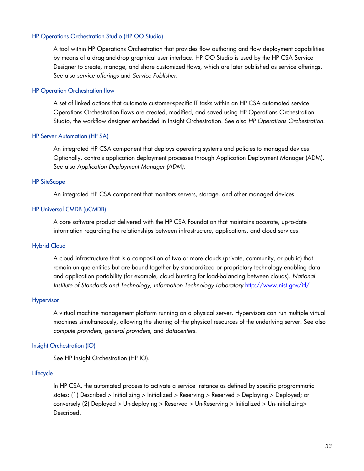#### HP Operations Orchestration Studio (HP OO Studio)

A tool within HP Operations Orchestration that provides flow authoring and flow deployment capabilities by means of a drag-and-drop graphical user interface. HP OO Studio is used by the HP CSA Service Designer to create, manage, and share customized flows, which are later published as service offerings. See also *service offerings* and *Service Publisher*.

#### HP Operation Orchestration flow

A set of linked actions that automate customer-specific IT tasks within an HP CSA automated service. Operations Orchestration flows are created, modified, and saved using HP Operations Orchestration Studio, the workflow designer embedded in Insight Orchestration. See also *HP Operations Orchestration*.

#### HP Server Automation (HP SA)

An integrated HP CSA component that deploys operating systems and policies to managed devices. Optionally, controls application deployment processes through Application Deployment Manager (ADM). See also *Application Deployment Manager (ADM)*.

#### HP SiteScope

An integrated HP CSA component that monitors servers, storage, and other managed devices.

#### HP Universal CMDB (uCMDB)

A core software product delivered with the HP CSA Foundation that maintains accurate, up-to-date information regarding the relationships between infrastructure, applications, and cloud services.

#### Hybrid Cloud

A cloud infrastructure that is a composition of two or more clouds (private, community, or public) that remain unique entities but are bound together by standardized or proprietary technology enabling data and application portability (for example, cloud bursting for load-balancing between clouds). *National Institute of Standards and Technology, Information Technology Laboratory* <http://www.nist.gov/itl/>

#### **Hypervisor**

A virtual machine management platform running on a physical server. Hypervisors can run multiple virtual machines simultaneously, allowing the sharing of the physical resources of the underlying server. See also *compute providers*, *general providers*, and *datacenters*.

#### Insight Orchestration (IO)

See HP Insight Orchestration (HP IO).

#### **Lifecycle**

In HP CSA, the automated process to activate a service instance as defined by specific programmatic states: (1) Described > Initializing > Initialized > Reserving > Reserved > Deploying > Deployed; or conversely (2) Deployed > Un-deploying > Reserved > Un-Reserving > Initialized > Un-initializing> Described.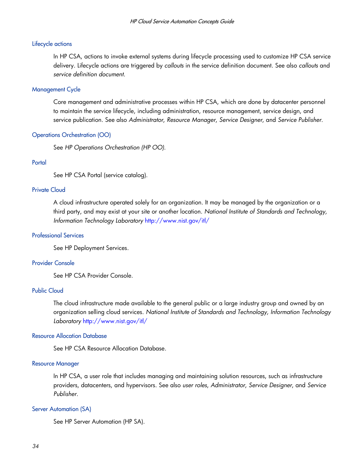#### Lifecycle actions

In HP CSA, actions to invoke external systems during lifecycle processing used to customize HP CSA service delivery. Lifecycle actions are triggered by *callouts* in the service definition document. See also *callouts* and *service definition document*.

#### Management Cycle

Core management and administrative processes within HP CSA, which are done by datacenter personnel to maintain the service lifecycle, including administration, resource management, service design, and service publication. See also *Administrator*, *Resource Manager*, *Service Designer*, and *Service Publisher*.

#### Operations Orchestration (OO)

See *HP Operations Orchestration (HP OO)*.

#### **Portal**

See HP CSA Portal (service catalog).

#### Private Cloud

A cloud infrastructure operated solely for an organization. It may be managed by the organization or a third party, and may exist at your site or another location. *National Institute of Standards and Technology, Information Technology Laboratory* <http://www.nist.gov/itl/>

#### Professional Services

See HP Deployment Services.

#### Provider Console

See HP CSA Provider Console.

#### Public Cloud

The cloud infrastructure made available to the general public or a large industry group and owned by an organization selling cloud services. *National Institute of Standards and Technology, Information Technology Laboratory* <http://www.nist.gov/itl/>

#### Resource Allocation Database

See HP CSA Resource Allocation Database.

#### Resource Manager

In HP CSA, a user role that includes managing and maintaining solution resources, such as infrastructure providers, datacenters, and hypervisors. See also *user roles*, *Administrator*, *Service Designer*, and *Service Publisher*.

#### Server Automation (SA)

See HP Server Automation (HP SA).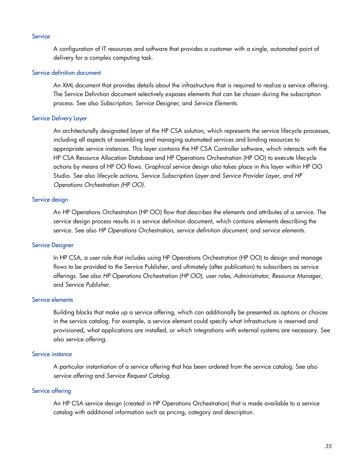#### **Service**

A configuration of IT resources and software that provides a customer with a single, automated point of delivery for a complex computing task.

#### Service definition document

An XML document that provides details about the infrastructure that is required to realize a service offering. The Service Definition document selectively exposes elements that can be chosen during the subscription process. See also *Subscription*, *Service Designer*, and *Service Elements*.

#### Service Delivery Layer

An architecturally designated layer of the HP CSA solution, which represents the service lifecycle processes, including all aspects of assembling and managing automated services and binding resources to appropriate service instances. This layer contains the HP CSA Controller software, which interacts with the HP CSA Resource Allocation Database and HP Operations Orchestration (HP OO) to execute lifecycle actions by means of HP OO flows. Graphical service design also takes place in this layer within HP OO Studio. See also *lifecycle actions, Service Subscription Layer* and *Service Provider Layer, and HP Operations Orchestration (HP OO)*.

#### Service design

An HP Operations Orchestration (HP OO) flow that describes the elements and attributes of a service. The service design process results in a service definition document, which contains *elements* describing the service. See also *HP Operations Orchestration*, *service definition document*, and *service elements*.

#### Service Designer

In HP CSA, a user role that includes using HP Operations Orchestration (HP OO) to design and manage flows to be provided to the Service Publisher, and ultimately (after publication) to subscribers as service offerings. See also *HP Operations Orchestration (HP OO), user roles*, *Administrator*, *Resource Manager*, and *Service Publisher*.

#### Service elements

Building blocks that make up a service offering, which can additionally be presented as options or choices in the service catalog. For example, a service element could specify what infrastructure is reserved and provisioned, what applications are installed, or which integrations with external systems are necessary. See also *service offering*.

#### Service instance

A particular instantiation of a service offering that has been ordered from the service catalog. See also *service offering* and *Service Request Catalog*.

#### Service offering

An HP CSA service design (created in HP Operations Orchestration) that is made available to a service catalog with additional information such as pricing, category and description.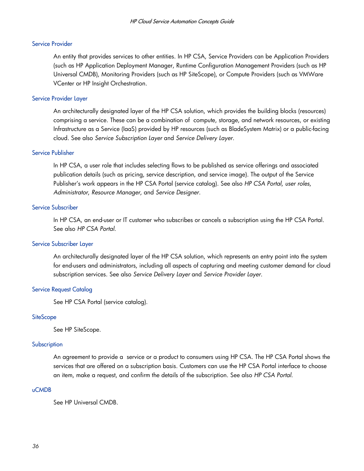#### Service Provider

An entity that provides services to other entities. In HP CSA, Service Providers can be Application Providers (such as HP Application Deployment Manager, Runtime Configuration Management Providers (such as HP Universal CMDB), Monitoring Providers (such as HP SiteScope), or Compute Providers (such as VMWare VCenter or HP Insight Orchestration.

#### Service Provider Layer

An architecturally designated layer of the HP CSA solution, which provides the building blocks (resources) comprising a service. These can be a combination of compute, storage, and network resources, or existing Infrastructure as a Service (IaaS) provided by HP resources (such as BladeSystem Matrix) or a public-facing cloud. See also *Service Subscription Layer* and *Service Delivery Layer*.

#### Service Publisher

In HP CSA, a user role that includes selecting flows to be published as service offerings and associated publication details (such as pricing, service description, and service image). The output of the Service Publisher's work appears in the HP CSA Portal (service catalog). See also *HP CSA Portal*, *user roles*, *Administrator*, *Resource Manager*, and *Service Designer*.

#### Service Subscriber

In HP CSA, an end-user or IT customer who subscribes or cancels a subscription using the HP CSA Portal. See also *HP CSA Portal*.

#### Service Subscriber Layer

An architecturally designated layer of the HP CSA solution, which represents an entry point into the system for end-users and administrators, including all aspects of capturing and meeting customer demand for cloud subscription services. See also *Service Delivery Layer* and *Service Provider Layer*.

#### Service Request Catalog

See HP CSA Portal (service catalog).

#### **SiteScope**

See HP SiteScope.

#### Subscription

An agreement to provide a service or a product to consumers using HP CSA. The HP CSA Portal shows the services that are offered on a subscription basis. Customers can use the HP CSA Portal interface to choose an item, make a request, and confirm the details of the subscription. See also *HP CSA Portal*.

#### uCMDB

See HP Universal CMDB.